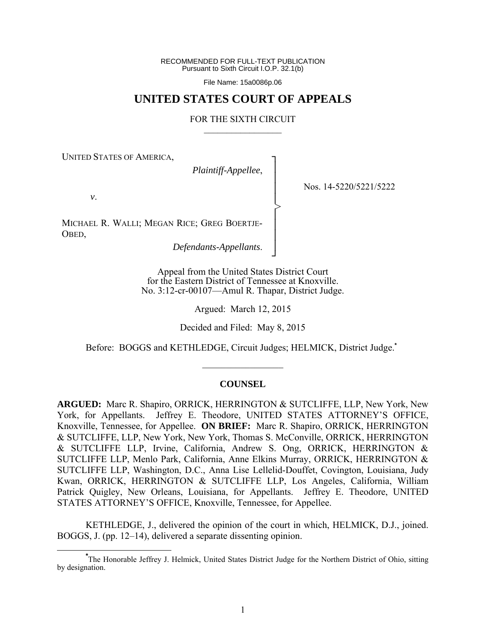RECOMMENDED FOR FULL-TEXT PUBLICATION Pursuant to Sixth Circuit I.O.P. 32.1(b)

File Name: 15a0086p.06

# **UNITED STATES COURT OF APPEALS**

#### FOR THE SIXTH CIRCUIT  $\mathcal{L}_\text{max}$

┐ │ │ │ │ │ │ │ │ ┘

>

UNITED STATES OF AMERICA,

*Plaintiff-Appellee*,

Nos. 14-5220/5221/5222

*v*.

MICHAEL R. WALLI; MEGAN RICE; GREG BOERTJE-OBED,

*Defendants-Appellants*.

Appeal from the United States District Court for the Eastern District of Tennessee at Knoxville. No. 3:12-cr-00107—Amul R. Thapar, District Judge.

Argued: March 12, 2015

Decided and Filed: May 8, 2015

Before: BOGGS and KETHLEDGE, Circuit Judges; HELMICK, District Judge.**\***

### **COUNSEL**

 $\mathcal{L}_\text{max}$ 

**ARGUED:** Marc R. Shapiro, ORRICK, HERRINGTON & SUTCLIFFE, LLP, New York, New York, for Appellants. Jeffrey E. Theodore, UNITED STATES ATTORNEY'S OFFICE, Knoxville, Tennessee, for Appellee. **ON BRIEF:** Marc R. Shapiro, ORRICK, HERRINGTON & SUTCLIFFE, LLP, New York, New York, Thomas S. McConville, ORRICK, HERRINGTON & SUTCLIFFE LLP, Irvine, California, Andrew S. Ong, ORRICK, HERRINGTON & SUTCLIFFE LLP, Menlo Park, California, Anne Elkins Murray, ORRICK, HERRINGTON & SUTCLIFFE LLP, Washington, D.C., Anna Lise Lellelid-Douffet, Covington, Louisiana, Judy Kwan, ORRICK, HERRINGTON & SUTCLIFFE LLP, Los Angeles, California, William Patrick Quigley, New Orleans, Louisiana, for Appellants. Jeffrey E. Theodore, UNITED STATES ATTORNEY'S OFFICE, Knoxville, Tennessee, for Appellee.

 KETHLEDGE, J., delivered the opinion of the court in which, HELMICK, D.J., joined. BOGGS, J. (pp. 12–14), delivered a separate dissenting opinion.

**\*** The Honorable Jeffrey J. Helmick, United States District Judge for the Northern District of Ohio, sitting by designation.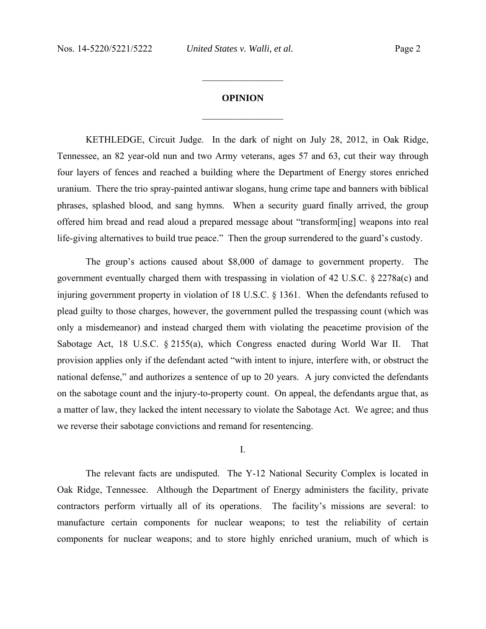# **OPINION**  $\frac{1}{2}$  ,  $\frac{1}{2}$  ,  $\frac{1}{2}$  ,  $\frac{1}{2}$  ,  $\frac{1}{2}$  ,  $\frac{1}{2}$  ,  $\frac{1}{2}$  ,  $\frac{1}{2}$  ,  $\frac{1}{2}$

 $\frac{1}{2}$  ,  $\frac{1}{2}$  ,  $\frac{1}{2}$  ,  $\frac{1}{2}$  ,  $\frac{1}{2}$  ,  $\frac{1}{2}$  ,  $\frac{1}{2}$  ,  $\frac{1}{2}$  ,  $\frac{1}{2}$ 

 KETHLEDGE, Circuit Judge. In the dark of night on July 28, 2012, in Oak Ridge, Tennessee, an 82 year-old nun and two Army veterans, ages 57 and 63, cut their way through four layers of fences and reached a building where the Department of Energy stores enriched uranium. There the trio spray-painted antiwar slogans, hung crime tape and banners with biblical phrases, splashed blood, and sang hymns. When a security guard finally arrived, the group offered him bread and read aloud a prepared message about "transform[ing] weapons into real life-giving alternatives to build true peace." Then the group surrendered to the guard's custody.

 The group's actions caused about \$8,000 of damage to government property. The government eventually charged them with trespassing in violation of 42 U.S.C. § 2278a(c) and injuring government property in violation of 18 U.S.C. § 1361. When the defendants refused to plead guilty to those charges, however, the government pulled the trespassing count (which was only a misdemeanor) and instead charged them with violating the peacetime provision of the Sabotage Act, 18 U.S.C. § 2155(a), which Congress enacted during World War II. That provision applies only if the defendant acted "with intent to injure, interfere with, or obstruct the national defense," and authorizes a sentence of up to 20 years. A jury convicted the defendants on the sabotage count and the injury-to-property count. On appeal, the defendants argue that, as a matter of law, they lacked the intent necessary to violate the Sabotage Act. We agree; and thus we reverse their sabotage convictions and remand for resentencing.

I.

 The relevant facts are undisputed. The Y-12 National Security Complex is located in Oak Ridge, Tennessee. Although the Department of Energy administers the facility, private contractors perform virtually all of its operations. The facility's missions are several: to manufacture certain components for nuclear weapons; to test the reliability of certain components for nuclear weapons; and to store highly enriched uranium, much of which is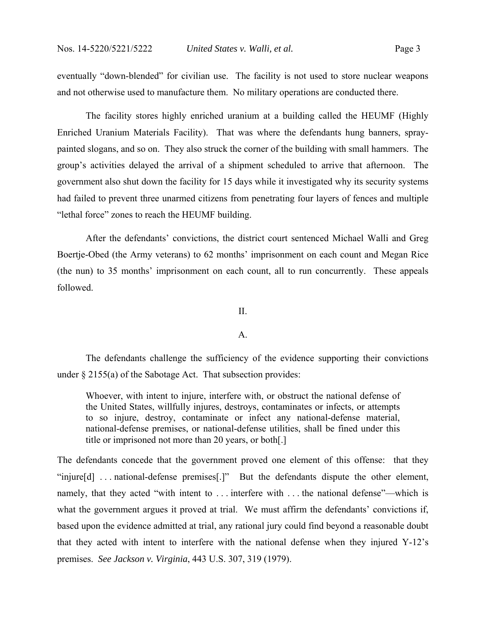eventually "down-blended" for civilian use. The facility is not used to store nuclear weapons and not otherwise used to manufacture them. No military operations are conducted there.

 The facility stores highly enriched uranium at a building called the HEUMF (Highly Enriched Uranium Materials Facility). That was where the defendants hung banners, spraypainted slogans, and so on. They also struck the corner of the building with small hammers. The group's activities delayed the arrival of a shipment scheduled to arrive that afternoon. The government also shut down the facility for 15 days while it investigated why its security systems had failed to prevent three unarmed citizens from penetrating four layers of fences and multiple "lethal force" zones to reach the HEUMF building.

 After the defendants' convictions, the district court sentenced Michael Walli and Greg Boertje-Obed (the Army veterans) to 62 months' imprisonment on each count and Megan Rice (the nun) to 35 months' imprisonment on each count, all to run concurrently. These appeals followed.

II.

### A.

 The defendants challenge the sufficiency of the evidence supporting their convictions under § 2155(a) of the Sabotage Act. That subsection provides:

Whoever, with intent to injure, interfere with, or obstruct the national defense of the United States, willfully injures, destroys, contaminates or infects, or attempts to so injure, destroy, contaminate or infect any national-defense material, national-defense premises, or national-defense utilities, shall be fined under this title or imprisoned not more than 20 years, or both[.]

The defendants concede that the government proved one element of this offense: that they "injure[d] . . . national-defense premises[.]" But the defendants dispute the other element, namely, that they acted "with intent to ... interfere with ... the national defense"—which is what the government argues it proved at trial. We must affirm the defendants' convictions if, based upon the evidence admitted at trial, any rational jury could find beyond a reasonable doubt that they acted with intent to interfere with the national defense when they injured Y-12's premises. *See Jackson v. Virginia*, 443 U.S. 307, 319 (1979).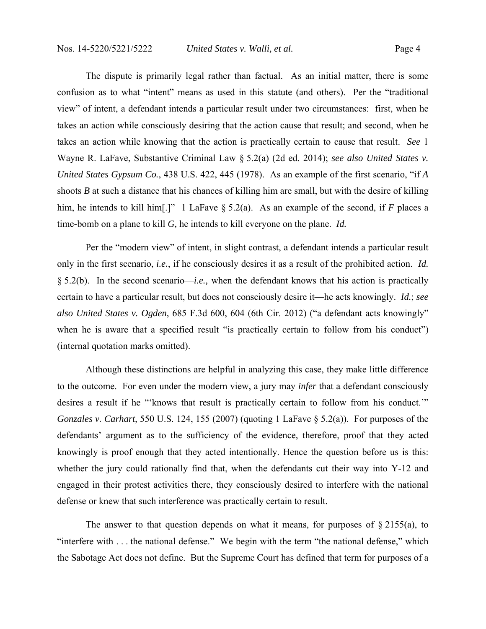The dispute is primarily legal rather than factual. As an initial matter, there is some confusion as to what "intent" means as used in this statute (and others). Per the "traditional view" of intent, a defendant intends a particular result under two circumstances: first, when he takes an action while consciously desiring that the action cause that result; and second, when he takes an action while knowing that the action is practically certain to cause that result. *See* 1 Wayne R. LaFave, Substantive Criminal Law § 5.2(a) (2d ed. 2014); *see also United States v. United States Gypsum Co.*, 438 U.S. 422, 445 (1978). As an example of the first scenario, "if *A*  shoots *B* at such a distance that his chances of killing him are small, but with the desire of killing him, he intends to kill him[.]" 1 LaFave § 5.2(a). As an example of the second, if *F* places a time-bomb on a plane to kill *G,* he intends to kill everyone on the plane. *Id.*

Per the "modern view" of intent, in slight contrast, a defendant intends a particular result only in the first scenario, *i.e.*, if he consciously desires it as a result of the prohibited action. *Id.*  § 5.2(b). In the second scenario—*i.e.,* when the defendant knows that his action is practically certain to have a particular result, but does not consciously desire it—he acts knowingly. *Id.*; *see also United States v. Ogden*, 685 F.3d 600, 604 (6th Cir. 2012) ("a defendant acts knowingly" when he is aware that a specified result "is practically certain to follow from his conduct") (internal quotation marks omitted).

Although these distinctions are helpful in analyzing this case, they make little difference to the outcome. For even under the modern view, a jury may *infer* that a defendant consciously desires a result if he "'knows that result is practically certain to follow from his conduct.'" *Gonzales v. Carhart*, 550 U.S. 124, 155 (2007) (quoting 1 LaFave § 5.2(a)). For purposes of the defendants' argument as to the sufficiency of the evidence, therefore, proof that they acted knowingly is proof enough that they acted intentionally. Hence the question before us is this: whether the jury could rationally find that, when the defendants cut their way into Y-12 and engaged in their protest activities there, they consciously desired to interfere with the national defense or knew that such interference was practically certain to result.

The answer to that question depends on what it means, for purposes of  $\S 2155(a)$ , to "interfere with . . . the national defense." We begin with the term "the national defense," which the Sabotage Act does not define. But the Supreme Court has defined that term for purposes of a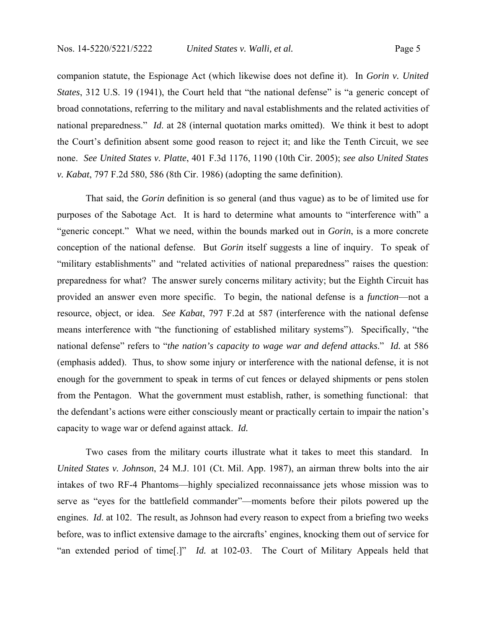companion statute, the Espionage Act (which likewise does not define it). In *Gorin v. United States*, 312 U.S. 19 (1941), the Court held that "the national defense" is "a generic concept of broad connotations, referring to the military and naval establishments and the related activities of national preparedness." *Id*. at 28 (internal quotation marks omitted). We think it best to adopt the Court's definition absent some good reason to reject it; and like the Tenth Circuit, we see none. *See United States v. Platte*, 401 F.3d 1176, 1190 (10th Cir. 2005); *see also United States v. Kabat*, 797 F.2d 580, 586 (8th Cir. 1986) (adopting the same definition).

 That said, the *Gorin* definition is so general (and thus vague) as to be of limited use for purposes of the Sabotage Act. It is hard to determine what amounts to "interference with" a "generic concept." What we need, within the bounds marked out in *Gorin*, is a more concrete conception of the national defense. But *Gorin* itself suggests a line of inquiry. To speak of "military establishments" and "related activities of national preparedness" raises the question: preparedness for what? The answer surely concerns military activity; but the Eighth Circuit has provided an answer even more specific. To begin, the national defense is a *function*—not a resource, object, or idea. *See Kabat*, 797 F.2d at 587 (interference with the national defense means interference with "the functioning of established military systems"). Specifically, "the national defense" refers to "*the nation's capacity to wage war and defend attacks*." *Id.* at 586 (emphasis added). Thus, to show some injury or interference with the national defense, it is not enough for the government to speak in terms of cut fences or delayed shipments or pens stolen from the Pentagon. What the government must establish, rather, is something functional: that the defendant's actions were either consciously meant or practically certain to impair the nation's capacity to wage war or defend against attack. *Id.*

 Two cases from the military courts illustrate what it takes to meet this standard. In *United States v. Johnson*, 24 M.J. 101 (Ct. Mil. App. 1987), an airman threw bolts into the air intakes of two RF-4 Phantoms—highly specialized reconnaissance jets whose mission was to serve as "eyes for the battlefield commander"—moments before their pilots powered up the engines. *Id.* at 102. The result, as Johnson had every reason to expect from a briefing two weeks before, was to inflict extensive damage to the aircrafts' engines, knocking them out of service for "an extended period of time[.]" *Id.* at 102-03. The Court of Military Appeals held that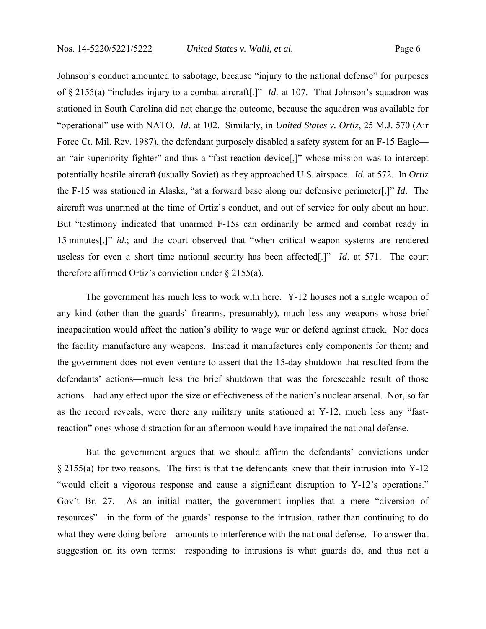Johnson's conduct amounted to sabotage, because "injury to the national defense" for purposes of § 2155(a) "includes injury to a combat aircraft[.]" *Id*. at 107. That Johnson's squadron was stationed in South Carolina did not change the outcome, because the squadron was available for "operational" use with NATO. *Id*. at 102.Similarly, in *United States v. Ortiz*, 25 M.J. 570 (Air Force Ct. Mil. Rev. 1987), the defendant purposely disabled a safety system for an F-15 Eaglean "air superiority fighter" and thus a "fast reaction device[,]" whose mission was to intercept potentially hostile aircraft (usually Soviet) as they approached U.S. airspace. *Id.* at 572. In *Ortiz*  the F-15 was stationed in Alaska, "at a forward base along our defensive perimeter[.]" *Id*. The aircraft was unarmed at the time of Ortiz's conduct, and out of service for only about an hour. But "testimony indicated that unarmed F-15s can ordinarily be armed and combat ready in 15 minutes[,]" *id*.; and the court observed that "when critical weapon systems are rendered useless for even a short time national security has been affected[.]" *Id*. at 571. The court therefore affirmed Ortiz's conviction under § 2155(a).

 The government has much less to work with here. Y-12 houses not a single weapon of any kind (other than the guards' firearms, presumably), much less any weapons whose brief incapacitation would affect the nation's ability to wage war or defend against attack. Nor does the facility manufacture any weapons. Instead it manufactures only components for them; and the government does not even venture to assert that the 15-day shutdown that resulted from the defendants' actions—much less the brief shutdown that was the foreseeable result of those actions—had any effect upon the size or effectiveness of the nation's nuclear arsenal. Nor, so far as the record reveals, were there any military units stationed at Y-12, much less any "fastreaction" ones whose distraction for an afternoon would have impaired the national defense.

 But the government argues that we should affirm the defendants' convictions under § 2155(a) for two reasons. The first is that the defendants knew that their intrusion into Y-12 "would elicit a vigorous response and cause a significant disruption to Y-12's operations." Gov't Br. 27. As an initial matter, the government implies that a mere "diversion of resources"—in the form of the guards' response to the intrusion, rather than continuing to do what they were doing before—amounts to interference with the national defense. To answer that suggestion on its own terms: responding to intrusions is what guards do, and thus not a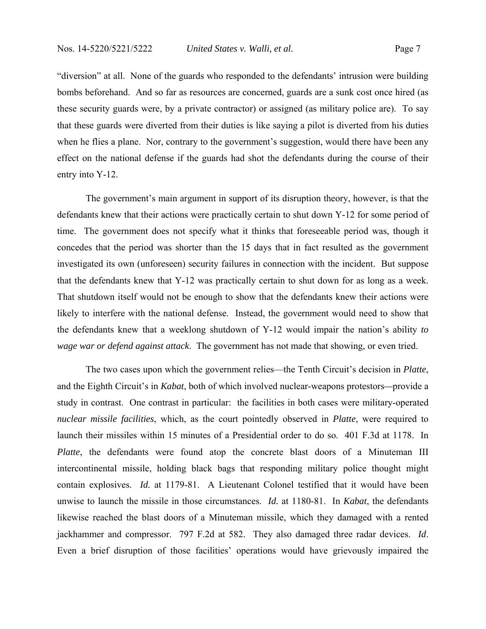"diversion" at all. None of the guards who responded to the defendants' intrusion were building bombs beforehand. And so far as resources are concerned, guards are a sunk cost once hired (as these security guards were, by a private contractor) or assigned (as military police are). To say that these guards were diverted from their duties is like saying a pilot is diverted from his duties when he flies a plane. Nor, contrary to the government's suggestion, would there have been any effect on the national defense if the guards had shot the defendants during the course of their entry into Y-12.

 The government's main argument in support of its disruption theory, however, is that the defendants knew that their actions were practically certain to shut down Y-12 for some period of time. The government does not specify what it thinks that foreseeable period was, though it concedes that the period was shorter than the 15 days that in fact resulted as the government investigated its own (unforeseen) security failures in connection with the incident. But suppose that the defendants knew that Y-12 was practically certain to shut down for as long as a week. That shutdown itself would not be enough to show that the defendants knew their actions were likely to interfere with the national defense. Instead, the government would need to show that the defendants knew that a weeklong shutdown of Y-12 would impair the nation's ability *to wage war or defend against attack*. The government has not made that showing, or even tried.

 The two cases upon which the government relies—the Tenth Circuit's decision in *Platte*, and the Eighth Circuit's in *Kabat*, both of which involved nuclear-weapons protestors*—*provide a study in contrast. One contrast in particular: the facilities in both cases were military-operated *nuclear missile facilities*, which, as the court pointedly observed in *Platte*, were required to launch their missiles within 15 minutes of a Presidential order to do so. 401 F.3d at 1178. In *Platte*, the defendants were found atop the concrete blast doors of a Minuteman III intercontinental missile, holding black bags that responding military police thought might contain explosives. *Id.* at 1179-81. A Lieutenant Colonel testified that it would have been unwise to launch the missile in those circumstances. *Id.* at 1180-81. In *Kabat*, the defendants likewise reached the blast doors of a Minuteman missile, which they damaged with a rented jackhammer and compressor. 797 F.2d at 582. They also damaged three radar devices. *Id*. Even a brief disruption of those facilities' operations would have grievously impaired the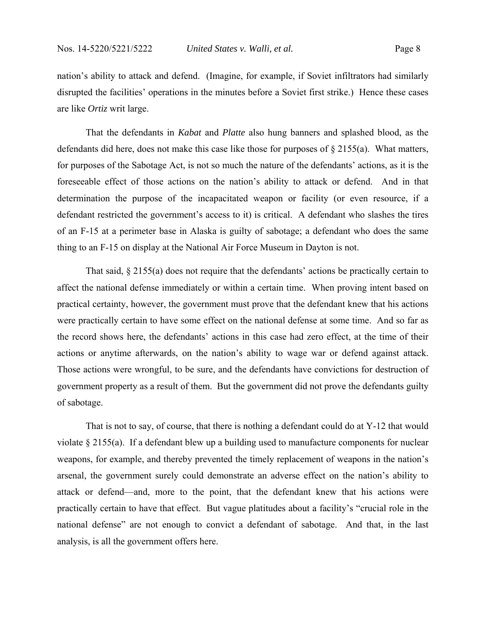nation's ability to attack and defend. (Imagine, for example, if Soviet infiltrators had similarly disrupted the facilities' operations in the minutes before a Soviet first strike.) Hence these cases are like *Ortiz* writ large.

 That the defendants in *Kabat* and *Platte* also hung banners and splashed blood, as the defendants did here, does not make this case like those for purposes of  $\S 2155(a)$ . What matters, for purposes of the Sabotage Act, is not so much the nature of the defendants' actions, as it is the foreseeable effect of those actions on the nation's ability to attack or defend. And in that determination the purpose of the incapacitated weapon or facility (or even resource, if a defendant restricted the government's access to it) is critical. A defendant who slashes the tires of an F-15 at a perimeter base in Alaska is guilty of sabotage; a defendant who does the same thing to an F-15 on display at the National Air Force Museum in Dayton is not.

That said, § 2155(a) does not require that the defendants' actions be practically certain to affect the national defense immediately or within a certain time. When proving intent based on practical certainty, however, the government must prove that the defendant knew that his actions were practically certain to have some effect on the national defense at some time. And so far as the record shows here, the defendants' actions in this case had zero effect, at the time of their actions or anytime afterwards, on the nation's ability to wage war or defend against attack. Those actions were wrongful, to be sure, and the defendants have convictions for destruction of government property as a result of them. But the government did not prove the defendants guilty of sabotage.

That is not to say, of course, that there is nothing a defendant could do at Y-12 that would violate § 2155(a). If a defendant blew up a building used to manufacture components for nuclear weapons, for example, and thereby prevented the timely replacement of weapons in the nation's arsenal, the government surely could demonstrate an adverse effect on the nation's ability to attack or defend—and, more to the point, that the defendant knew that his actions were practically certain to have that effect. But vague platitudes about a facility's "crucial role in the national defense" are not enough to convict a defendant of sabotage. And that, in the last analysis, is all the government offers here.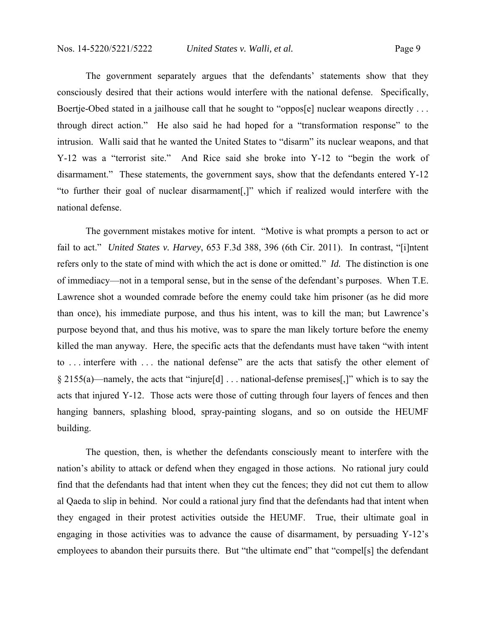The government separately argues that the defendants' statements show that they consciously desired that their actions would interfere with the national defense. Specifically, Boertje-Obed stated in a jailhouse call that he sought to "oppos[e] nuclear weapons directly ... through direct action." He also said he had hoped for a "transformation response" to the intrusion. Walli said that he wanted the United States to "disarm" its nuclear weapons, and that Y-12 was a "terrorist site." And Rice said she broke into Y-12 to "begin the work of disarmament." These statements, the government says, show that the defendants entered Y-12 "to further their goal of nuclear disarmament[,]" which if realized would interfere with the national defense.

The government mistakes motive for intent. "Motive is what prompts a person to act or fail to act." *United States v. Harvey*, 653 F.3d 388, 396 (6th Cir. 2011). In contrast, "[i]ntent refers only to the state of mind with which the act is done or omitted." *Id.* The distinction is one of immediacy—not in a temporal sense, but in the sense of the defendant's purposes. When T.E. Lawrence shot a wounded comrade before the enemy could take him prisoner (as he did more than once), his immediate purpose, and thus his intent, was to kill the man; but Lawrence's purpose beyond that, and thus his motive, was to spare the man likely torture before the enemy killed the man anyway. Here, the specific acts that the defendants must have taken "with intent to . . . interfere with . . . the national defense" are the acts that satisfy the other element of § 2155(a)—namely, the acts that "injure[d] . . . national-defense premises[,]" which is to say the acts that injured Y-12. Those acts were those of cutting through four layers of fences and then hanging banners, splashing blood, spray-painting slogans, and so on outside the HEUMF building.

The question, then, is whether the defendants consciously meant to interfere with the nation's ability to attack or defend when they engaged in those actions. No rational jury could find that the defendants had that intent when they cut the fences; they did not cut them to allow al Qaeda to slip in behind. Nor could a rational jury find that the defendants had that intent when they engaged in their protest activities outside the HEUMF. True, their ultimate goal in engaging in those activities was to advance the cause of disarmament, by persuading Y-12's employees to abandon their pursuits there. But "the ultimate end" that "compel[s] the defendant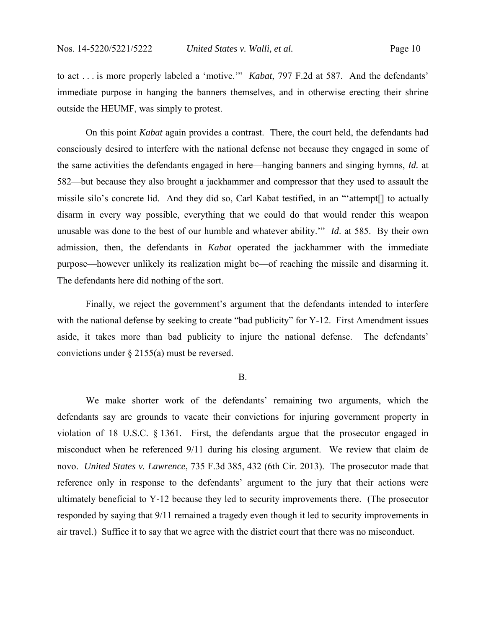to act . . . is more properly labeled a 'motive.'" *Kabat*, 797 F.2d at 587. And the defendants' immediate purpose in hanging the banners themselves, and in otherwise erecting their shrine outside the HEUMF, was simply to protest.

On this point *Kabat* again provides a contrast. There, the court held, the defendants had consciously desired to interfere with the national defense not because they engaged in some of the same activities the defendants engaged in here—hanging banners and singing hymns, *Id.* at 582—but because they also brought a jackhammer and compressor that they used to assault the missile silo's concrete lid. And they did so, Carl Kabat testified, in an "'attempt[] to actually disarm in every way possible, everything that we could do that would render this weapon unusable was done to the best of our humble and whatever ability.'" *Id*. at 585. By their own admission, then, the defendants in *Kabat* operated the jackhammer with the immediate purpose—however unlikely its realization might be—of reaching the missile and disarming it. The defendants here did nothing of the sort.

Finally, we reject the government's argument that the defendants intended to interfere with the national defense by seeking to create "bad publicity" for Y-12. First Amendment issues aside, it takes more than bad publicity to injure the national defense. The defendants' convictions under § 2155(a) must be reversed.

#### B.

 We make shorter work of the defendants' remaining two arguments, which the defendants say are grounds to vacate their convictions for injuring government property in violation of 18 U.S.C. § 1361. First, the defendants argue that the prosecutor engaged in misconduct when he referenced 9/11 during his closing argument. We review that claim de novo. *United States v. Lawrence*, 735 F.3d 385, 432 (6th Cir. 2013). The prosecutor made that reference only in response to the defendants' argument to the jury that their actions were ultimately beneficial to Y-12 because they led to security improvements there. (The prosecutor responded by saying that 9/11 remained a tragedy even though it led to security improvements in air travel.) Suffice it to say that we agree with the district court that there was no misconduct.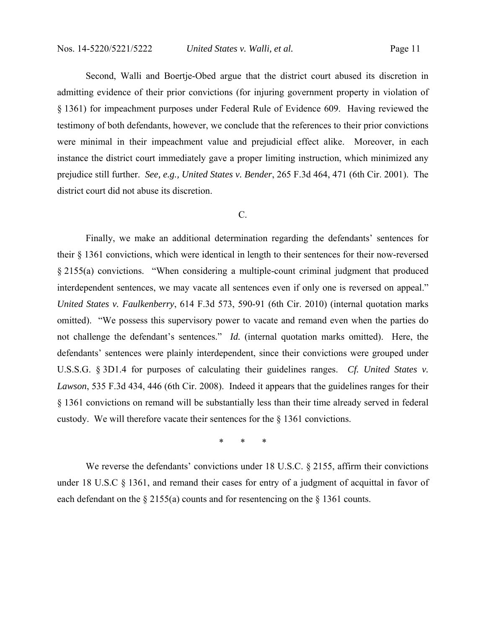Second, Walli and Boertje-Obed argue that the district court abused its discretion in admitting evidence of their prior convictions (for injuring government property in violation of § 1361) for impeachment purposes under Federal Rule of Evidence 609. Having reviewed the testimony of both defendants, however, we conclude that the references to their prior convictions were minimal in their impeachment value and prejudicial effect alike. Moreover, in each instance the district court immediately gave a proper limiting instruction, which minimized any prejudice still further. *See, e.g., United States v. Bender*, 265 F.3d 464, 471 (6th Cir. 2001). The district court did not abuse its discretion.

## C.

 Finally, we make an additional determination regarding the defendants' sentences for their § 1361 convictions, which were identical in length to their sentences for their now-reversed § 2155(a) convictions. "When considering a multiple-count criminal judgment that produced interdependent sentences, we may vacate all sentences even if only one is reversed on appeal." *United States v. Faulkenberry*, 614 F.3d 573, 590-91 (6th Cir. 2010) (internal quotation marks omitted). "We possess this supervisory power to vacate and remand even when the parties do not challenge the defendant's sentences." *Id.* (internal quotation marks omitted). Here, the defendants' sentences were plainly interdependent, since their convictions were grouped under U.S.S.G. § 3D1.4 for purposes of calculating their guidelines ranges. *Cf. United States v. Lawson*, 535 F.3d 434, 446 (6th Cir. 2008). Indeed it appears that the guidelines ranges for their § 1361 convictions on remand will be substantially less than their time already served in federal custody. We will therefore vacate their sentences for the § 1361 convictions.

\* \* \*

We reverse the defendants' convictions under 18 U.S.C. § 2155, affirm their convictions under 18 U.S.C § 1361, and remand their cases for entry of a judgment of acquittal in favor of each defendant on the  $\S 2155(a)$  counts and for resentencing on the  $\S 1361$  counts.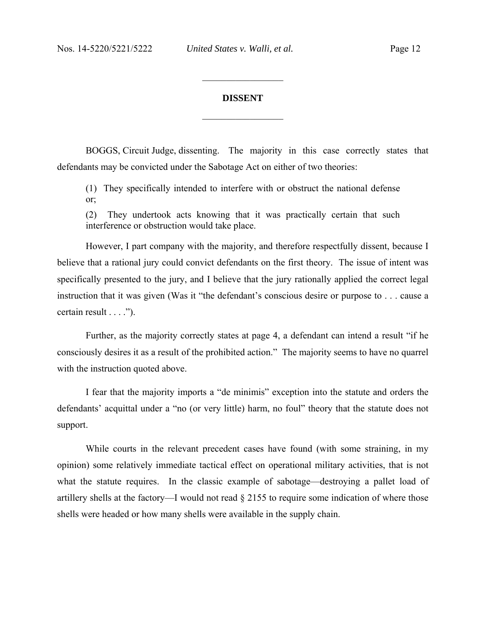### **DISSENT**

 $\frac{1}{2}$  ,  $\frac{1}{2}$  ,  $\frac{1}{2}$  ,  $\frac{1}{2}$  ,  $\frac{1}{2}$  ,  $\frac{1}{2}$  ,  $\frac{1}{2}$  ,  $\frac{1}{2}$  ,  $\frac{1}{2}$ 

 $\frac{1}{2}$  ,  $\frac{1}{2}$  ,  $\frac{1}{2}$  ,  $\frac{1}{2}$  ,  $\frac{1}{2}$  ,  $\frac{1}{2}$  ,  $\frac{1}{2}$  ,  $\frac{1}{2}$  ,  $\frac{1}{2}$ 

BOGGS, Circuit Judge, dissenting. The majority in this case correctly states that defendants may be convicted under the Sabotage Act on either of two theories:

(1) They specifically intended to interfere with or obstruct the national defense or;

(2) They undertook acts knowing that it was practically certain that such interference or obstruction would take place.

However, I part company with the majority, and therefore respectfully dissent, because I believe that a rational jury could convict defendants on the first theory. The issue of intent was specifically presented to the jury, and I believe that the jury rationally applied the correct legal instruction that it was given (Was it "the defendant's conscious desire or purpose to . . . cause a certain result . . . .").

Further, as the majority correctly states at page 4, a defendant can intend a result "if he consciously desires it as a result of the prohibited action." The majority seems to have no quarrel with the instruction quoted above.

I fear that the majority imports a "de minimis" exception into the statute and orders the defendants' acquittal under a "no (or very little) harm, no foul" theory that the statute does not support.

While courts in the relevant precedent cases have found (with some straining, in my opinion) some relatively immediate tactical effect on operational military activities, that is not what the statute requires. In the classic example of sabotage—destroying a pallet load of artillery shells at the factory—I would not read § 2155 to require some indication of where those shells were headed or how many shells were available in the supply chain.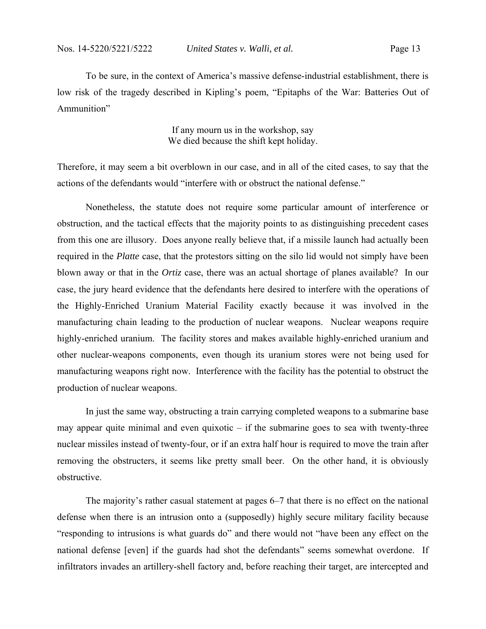To be sure, in the context of America's massive defense-industrial establishment, there is low risk of the tragedy described in Kipling's poem, "Epitaphs of the War: Batteries Out of Ammunition"

> If any mourn us in the workshop, say We died because the shift kept holiday.

Therefore, it may seem a bit overblown in our case, and in all of the cited cases, to say that the actions of the defendants would "interfere with or obstruct the national defense."

Nonetheless, the statute does not require some particular amount of interference or obstruction, and the tactical effects that the majority points to as distinguishing precedent cases from this one are illusory. Does anyone really believe that, if a missile launch had actually been required in the *Platte* case, that the protestors sitting on the silo lid would not simply have been blown away or that in the *Ortiz* case, there was an actual shortage of planes available? In our case, the jury heard evidence that the defendants here desired to interfere with the operations of the Highly-Enriched Uranium Material Facility exactly because it was involved in the manufacturing chain leading to the production of nuclear weapons. Nuclear weapons require highly-enriched uranium. The facility stores and makes available highly-enriched uranium and other nuclear-weapons components, even though its uranium stores were not being used for manufacturing weapons right now. Interference with the facility has the potential to obstruct the production of nuclear weapons.

In just the same way, obstructing a train carrying completed weapons to a submarine base may appear quite minimal and even quixotic – if the submarine goes to sea with twenty-three nuclear missiles instead of twenty-four, or if an extra half hour is required to move the train after removing the obstructers, it seems like pretty small beer. On the other hand, it is obviously obstructive.

The majority's rather casual statement at pages 6–7 that there is no effect on the national defense when there is an intrusion onto a (supposedly) highly secure military facility because "responding to intrusions is what guards do" and there would not "have been any effect on the national defense [even] if the guards had shot the defendants" seems somewhat overdone. If infiltrators invades an artillery-shell factory and, before reaching their target, are intercepted and